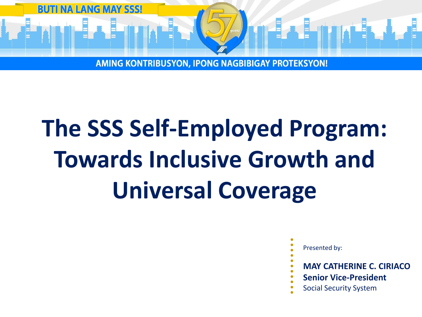

# **The SSS Self-Employed Program: Towards Inclusive Growth and Universal Coverage**

- Presented by:
- 
- **MAY CATHERINE C. CIRIACO**
- **Senior Vice-President**
- Social Security System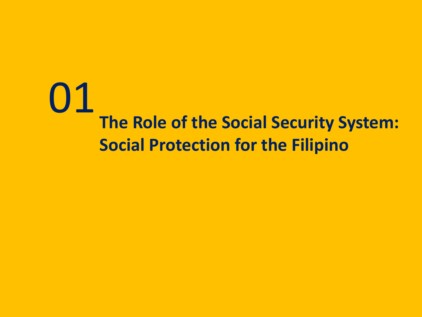## 01 **The Role of the Social Security System: Social Protection for the Filipino**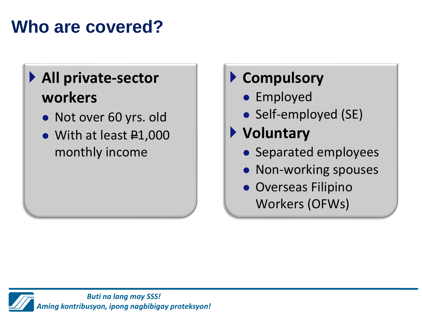### **Who are covered?**

### **All private-sector workers**

- ⚫ Not over 60 yrs. old
- With at least #1,000 monthly income

### **Compulsory**

- ⚫ Employed
- Self-employed (SE)
- **Voluntary**
	- ⚫ Separated employees
	- ⚫ Non-working spouses
	- ⚫ Overseas Filipino Workers (OFWs)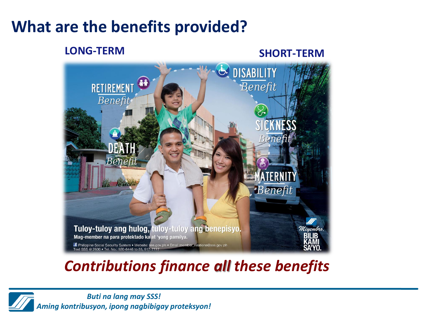### **What are the benefits provided?**

#### **LONG-TERM SHORT-TERM**



### *Contributions finance all these benefits*

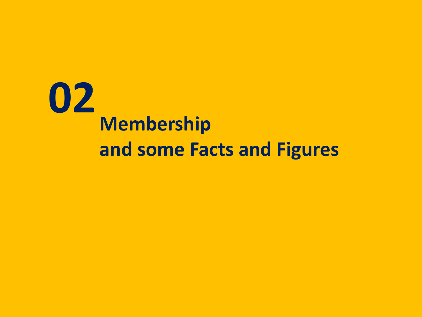## **02 Membership and some Facts and Figures**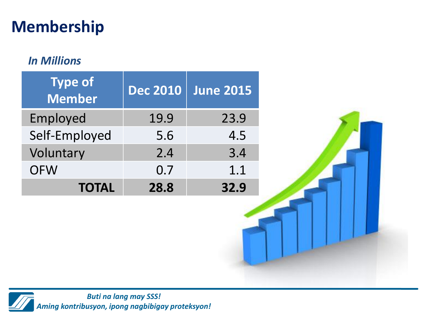### **Membership**

### *In Millions*

| <b>Type of</b><br><b>Member</b> | <b>Dec 2010</b> | <b>June 2015</b> |
|---------------------------------|-----------------|------------------|
| Employed                        | 19.9            | 23.9             |
| Self-Employed                   | 5.6             | 4.5              |
| Voluntary                       | 2.4             | 3.4              |
| <b>OFW</b>                      | 0.7             | 1.1              |
| <b>TOTAL</b>                    | 28.8            | 32.9             |

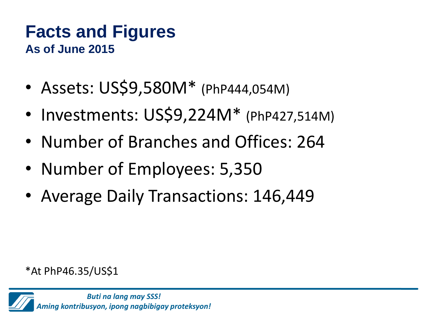### **Facts and Figures As of June 2015**

- Assets: US\$9,580M\* (PhP444,054M)
- Investments: US\$9,224M<sup>\*</sup> (PhP427,514M)
- Number of Branches and Offices: 264
- Number of Employees: 5,350
- Average Daily Transactions: 146,449

\*At PhP46.35/US\$1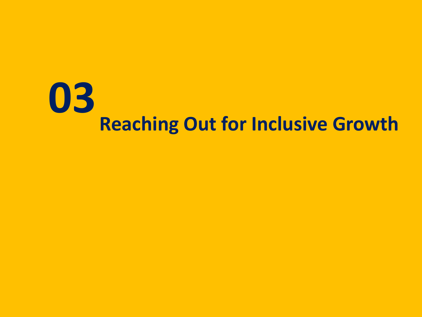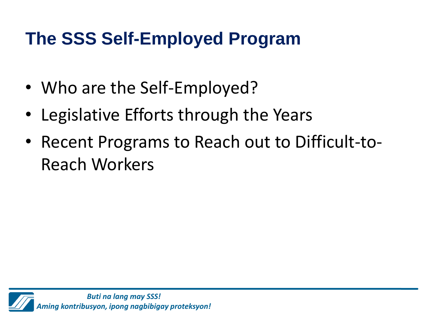- Who are the Self-Employed?
- Legislative Efforts through the Years
- Recent Programs to Reach out to Difficult-to-Reach Workers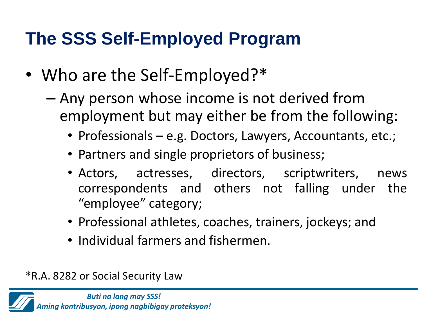- Who are the Self-Employed?\*
	- Any person whose income is not derived from employment but may either be from the following:
		- Professionals e.g. Doctors, Lawyers, Accountants, etc.;
		- Partners and single proprietors of business;
		- Actors, actresses, directors, scriptwriters, news correspondents and others not falling under the "employee" category;
		- Professional athletes, coaches, trainers, jockeys; and
		- Individual farmers and fishermen.

\*R.A. 8282 or Social Security Law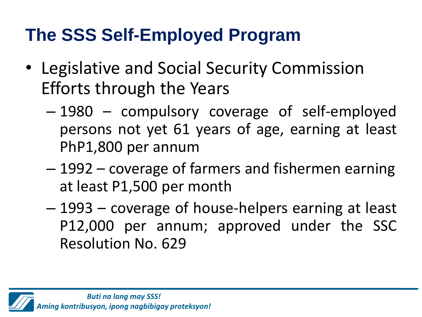- Legislative and Social Security Commission Efforts through the Years
	- 1980 compulsory coverage of self-employed persons not yet 61 years of age, earning at least PhP1,800 per annum
	- 1992 coverage of farmers and fishermen earning at least P1,500 per month
	- 1993 coverage of house-helpers earning at least P12,000 per annum; approved under the SSC Resolution No. 629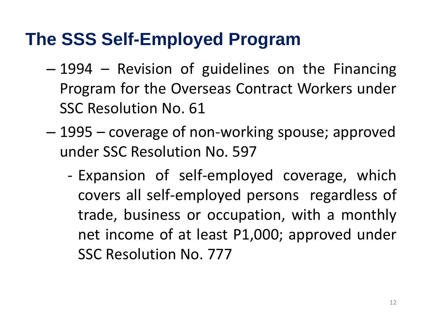- 1994 Revision of guidelines on the Financing Program for the Overseas Contract Workers under SSC Resolution No. 61
- 1995 coverage of non-working spouse; approved under SSC Resolution No. 597
	- Expansion of self-employed coverage, which covers all self-employed persons regardless of trade, business or occupation, with a monthly net income of at least P1,000; approved under SSC Resolution No. 777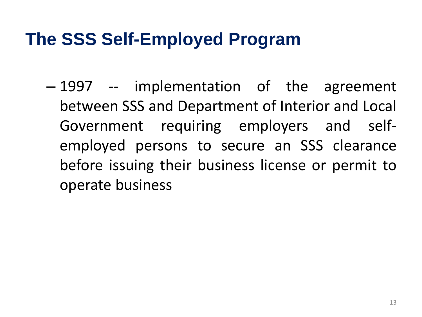– 1997 -- implementation of the agreement between SSS and Department of Interior and Local Government requiring employers and selfemployed persons to secure an SSS clearance before issuing their business license or permit to operate business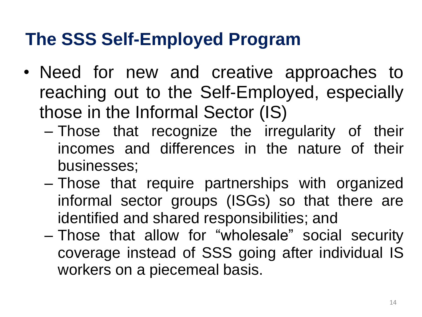- Need for new and creative approaches to reaching out to the Self-Employed, especially those in the Informal Sector (IS)
	- Those that recognize the irregularity of their incomes and differences in the nature of their businesses;
	- Those that require partnerships with organized informal sector groups (ISGs) so that there are identified and shared responsibilities; and
	- Those that allow for "wholesale" social security coverage instead of SSS going after individual IS workers on a piecemeal basis.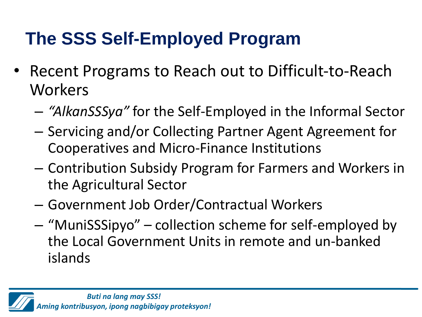- Recent Programs to Reach out to Difficult-to-Reach Workers
	- *"AlkanSSSya"* for the Self-Employed in the Informal Sector
	- Servicing and/or Collecting Partner Agent Agreement for Cooperatives and Micro-Finance Institutions
	- Contribution Subsidy Program for Farmers and Workers in the Agricultural Sector
	- Government Job Order/Contractual Workers
	- "MuniSSSipyo" collection scheme for self-employed by the Local Government Units in remote and un-banked islands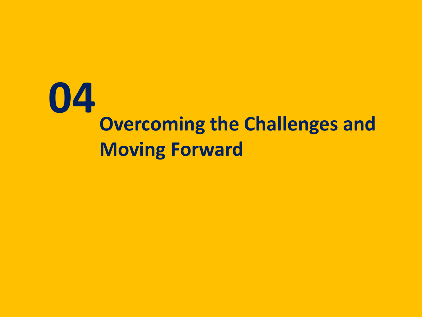# **04 Overcoming the Challenges and Moving Forward**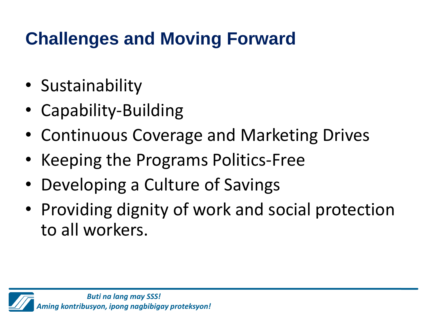## **Challenges and Moving Forward**

- Sustainability
- Capability-Building
- Continuous Coverage and Marketing Drives
- Keeping the Programs Politics-Free
- Developing a Culture of Savings
- Providing dignity of work and social protection to all workers.